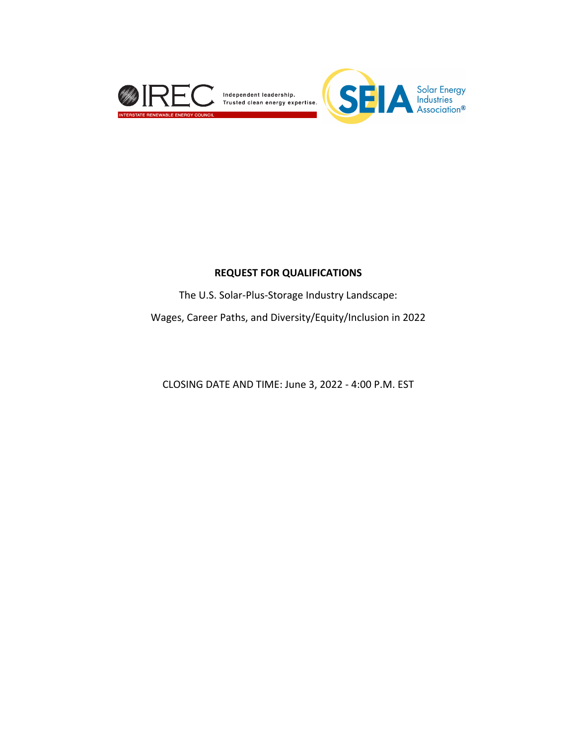

#### **REQUEST FOR QUALIFICATIONS**

The U.S. Solar-Plus-Storage Industry Landscape:

Wages, Career Paths, and Diversity/Equity/Inclusion in 2022

CLOSING DATE AND TIME: June 3, 2022 - 4:00 P.M. EST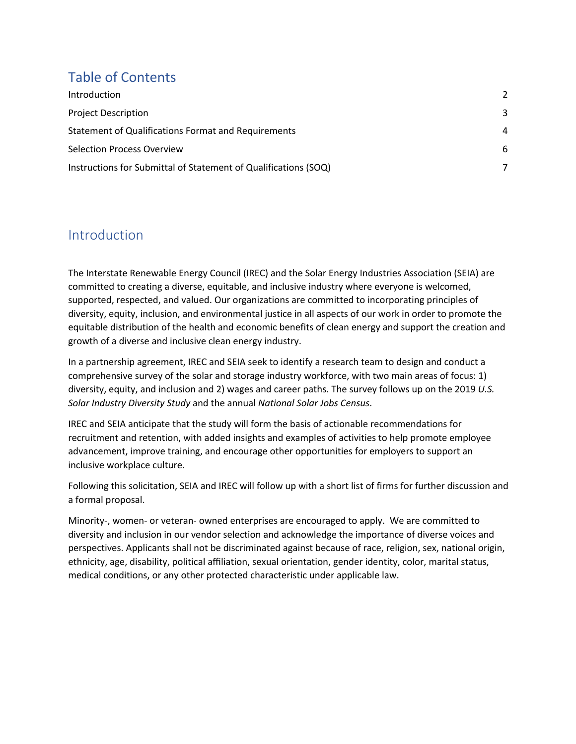## Table of Contents

| Introduction                                                    |   |
|-----------------------------------------------------------------|---|
| <b>Project Description</b>                                      | 3 |
| Statement of Qualifications Format and Requirements             | 4 |
| <b>Selection Process Overview</b>                               | 6 |
| Instructions for Submittal of Statement of Qualifications (SOQ) |   |

### Introduction

The Interstate Renewable Energy Council (IREC) and the Solar Energy Industries Association (SEIA) are committed to creating a diverse, equitable, and inclusive industry where everyone is welcomed, supported, respected, and valued. Our organizations are committed to incorporating principles of diversity, equity, inclusion, and environmental justice in all aspects of our work in order to promote the equitable distribution of the health and economic benefits of clean energy and support the creation and growth of a diverse and inclusive clean energy industry.

In a partnership agreement, IREC and SEIA seek to identify a research team to design and conduct a comprehensive survey of the solar and storage industry workforce, with two main areas of focus: 1) diversity, equity, and inclusion and 2) wages and career paths. The survey follows up on the 2019 *U.S. Solar Industry Diversity Study* and the annual *National Solar Jobs Census*.

IREC and SEIA anticipate that the study will form the basis of actionable recommendations for recruitment and retention, with added insights and examples of activities to help promote employee advancement, improve training, and encourage other opportunities for employers to support an inclusive workplace culture.

Following this solicitation, SEIA and IREC will follow up with a short list of firms for further discussion and a formal proposal.

Minority-, women- or veteran- owned enterprises are encouraged to apply. We are committed to diversity and inclusion in our vendor selection and acknowledge the importance of diverse voices and perspectives. Applicants shall not be discriminated against because of race, religion, sex, national origin, ethnicity, age, disability, political affiliation, sexual orientation, gender identity, color, marital status, medical conditions, or any other protected characteristic under applicable law.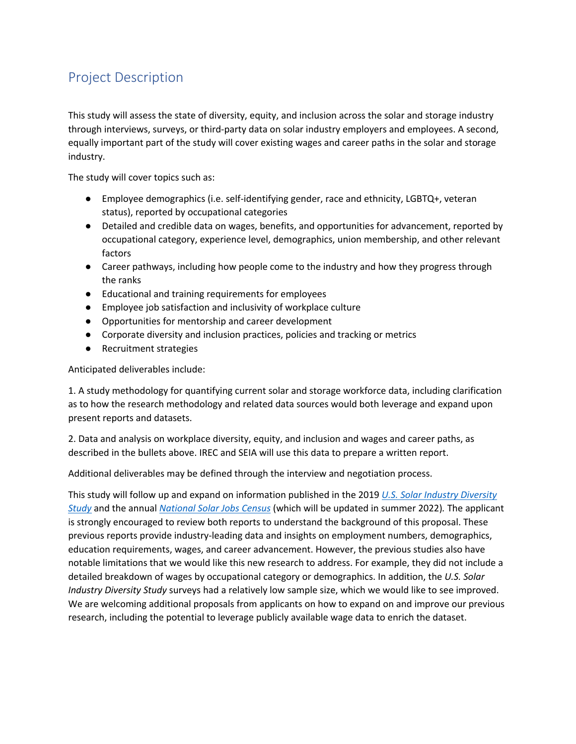# Project Description

This study will assess the state of diversity, equity, and inclusion across the solar and storage industry through interviews, surveys, or third-party data on solar industry employers and employees. A second, equally important part of the study will cover existing wages and career paths in the solar and storage industry.

The study will cover topics such as:

- Employee demographics (i.e. self-identifying gender, race and ethnicity, LGBTQ+, veteran status), reported by occupational categories
- Detailed and credible data on wages, benefits, and opportunities for advancement, reported by occupational category, experience level, demographics, union membership, and other relevant factors
- Career pathways, including how people come to the industry and how they progress through the ranks
- Educational and training requirements for employees
- Employee job satisfaction and inclusivity of workplace culture
- Opportunities for mentorship and career development
- Corporate diversity and inclusion practices, policies and tracking or metrics
- Recruitment strategies

Anticipated deliverables include:

1. A study methodology for quantifying current solar and storage workforce data, including clarification as to how the research methodology and related data sources would both leverage and expand upon present reports and datasets.

2. Data and analysis on workplace diversity, equity, and inclusion and wages and career paths, as described in the bullets above. IREC and SEIA will use this data to prepare a written report.

Additional deliverables may be defined through the interview and negotiation process.

This study will follow up and expand on information published in the 2019 *U.S. Solar Industry Diversity Study* and the annual *National Solar Jobs Census* (which will be updated in summer 2022)*.* The applicant is strongly encouraged to review both reports to understand the background of this proposal. These previous reports provide industry-leading data and insights on employment numbers, demographics, education requirements, wages, and career advancement. However, the previous studies also have notable limitations that we would like this new research to address. For example, they did not include a detailed breakdown of wages by occupational category or demographics. In addition, the *U.S. Solar Industry Diversity Study* surveys had a relatively low sample size, which we would like to see improved. We are welcoming additional proposals from applicants on how to expand on and improve our previous research, including the potential to leverage publicly available wage data to enrich the dataset.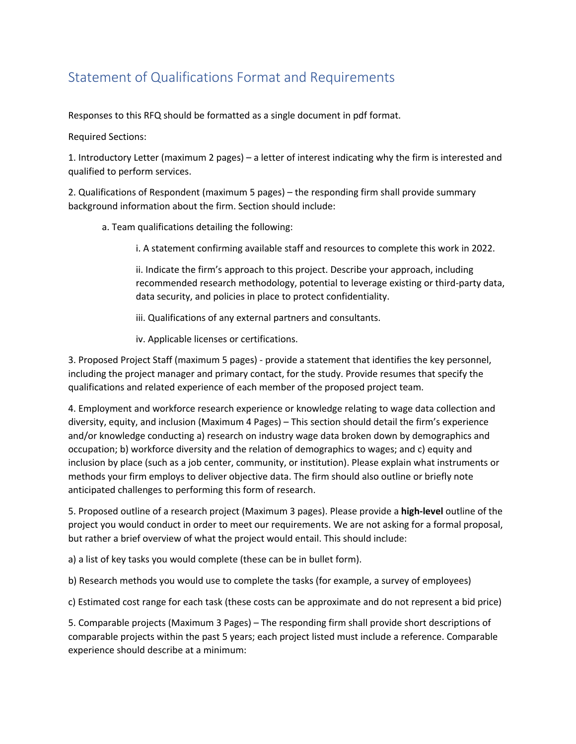# Statement of Qualifications Format and Requirements

Responses to this RFQ should be formatted as a single document in pdf format.

Required Sections:

1. Introductory Letter (maximum 2 pages) – a letter of interest indicating why the firm is interested and qualified to perform services.

2. Qualifications of Respondent (maximum 5 pages) – the responding firm shall provide summary background information about the firm. Section should include:

a. Team qualifications detailing the following:

i. A statement confirming available staff and resources to complete this work in 2022.

ii. Indicate the firm's approach to this project. Describe your approach, including recommended research methodology, potential to leverage existing or third-party data, data security, and policies in place to protect confidentiality.

iii. Qualifications of any external partners and consultants.

iv. Applicable licenses or certifications.

3. Proposed Project Staff (maximum 5 pages) - provide a statement that identifies the key personnel, including the project manager and primary contact, for the study. Provide resumes that specify the qualifications and related experience of each member of the proposed project team.

4. Employment and workforce research experience or knowledge relating to wage data collection and diversity, equity, and inclusion (Maximum 4 Pages) – This section should detail the firm's experience and/or knowledge conducting a) research on industry wage data broken down by demographics and occupation; b) workforce diversity and the relation of demographics to wages; and c) equity and inclusion by place (such as a job center, community, or institution). Please explain what instruments or methods your firm employs to deliver objective data. The firm should also outline or briefly note anticipated challenges to performing this form of research.

5. Proposed outline of a research project (Maximum 3 pages). Please provide a **high-level** outline of the project you would conduct in order to meet our requirements. We are not asking for a formal proposal, but rather a brief overview of what the project would entail. This should include:

a) a list of key tasks you would complete (these can be in bullet form).

b) Research methods you would use to complete the tasks (for example, a survey of employees)

c) Estimated cost range for each task (these costs can be approximate and do not represent a bid price)

5. Comparable projects (Maximum 3 Pages) – The responding firm shall provide short descriptions of comparable projects within the past 5 years; each project listed must include a reference. Comparable experience should describe at a minimum: